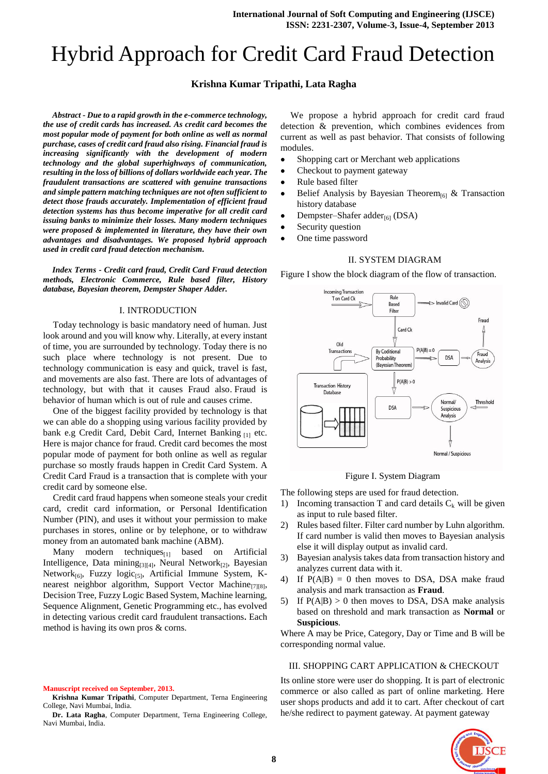# Hybrid Approach for Credit Card Fraud Detection

# **Krishna Kumar Tripathi, Lata Ragha**

*Abstract* **-** *Due to a rapid growth in the e-commerce technology, the use of credit cards has increased. As credit card becomes the most popular mode of payment for both online as well as normal purchase, cases of credit card fraud also rising. Financial fraud is increasing significantly with the development of modern technology and the global superhighways of communication, resulting in the loss of billions of dollars worldwide each year. The fraudulent transactions are scattered with genuine transactions and simple pattern matching techniques are not often sufficient to detect those frauds accurately. Implementation of efficient fraud detection systems has thus become imperative for all credit card issuing banks to minimize their losses. Many modern techniques were proposed & implemented in literature, they have their own advantages and disadvantages. We proposed hybrid approach used in credit card fraud detection mechanism.*

*Index Terms* **-** *Credit card fraud, Credit Card Fraud detection methods, Electronic Commerce, Rule based filter, History database, Bayesian theorem, Dempster Shaper Adder.*

#### I. INTRODUCTION

Today technology is basic mandatory need of human. Just look around and you will know why. Literally, at every instant of time, you are surrounded by technology. Today there is no such place where technology is not present. Due to technology communication is easy and quick, travel is fast, and movements are also fast. There are lots of advantages of technology, but with that it causes Fraud also. Fraud is behavior of human which is out of rule and causes crime.

One of the biggest facility provided by technology is that we can able do a shopping using various facility provided by bank e.g Credit Card, Debit Card, Internet Banking [1] etc. Here is major chance for fraud. Credit card becomes the most popular mode of payment for both online as well as regular purchase so mostly frauds happen in Credit Card System. A Credit Card Fraud is a transaction that is complete with your credit card by someone else.

Credit card fraud happens when someone steals your credit card, credit card information, or Personal Identification Number (PIN), and uses it without your permission to make purchases in stores, online or by telephone, or to withdraw money from an automated bank machine (ABM).

Many modern techniques $_{[1]}$  based on Artificial Intelligence, Data mining<sub>[3][4]</sub>, Neural Network<sub>[2]</sub>, Bayesian Network $_{[6]}$ , Fuzzy logic $_{[5]}$ , Artificial Immune System, Knearest neighbor algorithm, Support Vector Machine<sub>[7][8]</sub>, Decision Tree, Fuzzy Logic Based System, Machine learning, Sequence Alignment, Genetic Programming etc., has evolved in detecting various credit card fraudulent transactions**.** Each method is having its own pros & corns.

**Manuscript received on September, 2013.**

**Krishna Kumar Tripathi**, Computer Department, Terna Engineering College, Navi Mumbai, India.

**Dr. Lata Ragha**, Computer Department, Terna Engineering College, Navi Mumbai, India.

We propose a hybrid approach for credit card fraud detection & prevention, which combines evidences from current as well as past behavior. That consists of following modules.

- Shopping cart or Merchant web applications
- Checkout to payment gateway
- $\bullet$ Rule based filter
- $\bullet$ Belief Analysis by Bayesian Theorem<sub>[6]</sub> & Transaction history database
- $\bullet$ Dempster–Shafer adder<sub>[6]</sub> (DSA)
- Security question
- $\bullet$ One time password

#### II. SYSTEM DIAGRAM

Figure I show the block diagram of the flow of transaction.



Figure I. System Diagram

The following steps are used for fraud detection.

- 1) Incoming transaction T and card details  $C_k$  will be given as input to rule based filter.
- 2) Rules based filter. Filter card number by Luhn algorithm. If card number is valid then moves to Bayesian analysis else it will display output as invalid card.
- 3) Bayesian analysis takes data from transaction history and analyzes current data with it.
- 4) If  $P(A|B) = 0$  then moves to DSA, DSA make fraud analysis and mark transaction as **Fraud**.
- 5) If  $P(A|B) > 0$  then moves to DSA, DSA make analysis based on threshold and mark transaction as **Normal** or **Suspicious**.

Where A may be Price, Category, Day or Time and B will be corresponding normal value.

#### III. SHOPPING CART APPLICATION & CHECKOUT

Its online store were user do shopping. It is part of electronic commerce or also called as part of online marketing. Here user shops products and add it to cart. After checkout of cart he/she redirect to payment gateway. At payment gateway

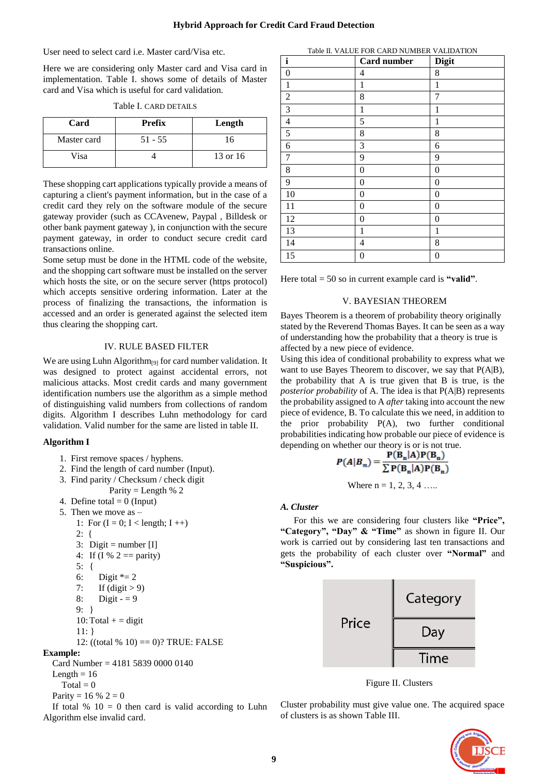User need to select card i.e. Master card/Visa etc.

Here we are considering only Master card and Visa card in implementation. Table I. shows some of details of Master card and Visa which is useful for card validation.

| Card        | <b>Prefix</b> | Length   |
|-------------|---------------|----------|
| Master card | $51 - 55$     | 16       |
| Visa        |               | 13 or 16 |

These shopping cart applications typically provide a means of capturing a client's payment information, but in the case of a credit card they rely on the software module of the secure gateway provider (such as CCAvenew, Paypal , Billdesk or other bank payment gateway ), in conjunction with the secure payment gateway, in order to conduct secure credit card transactions online.

Some setup must be done in the HTML code of the website, and the shopping cart software must be installed on the server which hosts the site, or on the secure server (https protocol) which accepts sensitive ordering information. Later at the process of finalizing the transactions, the information is accessed and an order is generated against the selected item thus clearing the shopping cart.

# IV. RULE BASED FILTER

We are using Luhn Algorithm<sub>[9]</sub> for card number validation. It was designed to protect against accidental errors, not malicious attacks. Most credit cards and many government identification numbers use the algorithm as a simple method of distinguishing valid numbers from collections of random digits. Algorithm I describes Luhn methodology for card validation. Valid number for the same are listed in table II.

# **Algorithm I**

- 1. First remove spaces / hyphens.
- 2. Find the length of card number (Input).
- 3. Find parity / Checksum / check digit
	- Parity = Length  $% 2$
- 4. Define total  $= 0$  (Input)
- 5. Then we move as
	- 1: For  $(I = 0; I <$  length;  $I +$ ) 2: { 3: Digit = number  $[I]$ 4: If (I % 2 = parity) 5: { 6: Digit  $* = 2$ 7: If  $(digit > 9)$ 
		- 8: Digit  $= 9$
		- 9: }
		- 10: Total  $+$  = digit
	- 11: }

```
12: ((total % 10) = 0)? TRUE: FALSE
```
# **Example:**

Card Number = 4181 5839 0000 0140

Length  $= 16$  $T_{\alpha \text{tol}} = 0$ 

$$
Total = 0
$$
  
Parity = 16 % 2 = 0

If total  $% 10 = 0$  then card is valid according to Luhn Algorithm else invalid card.

| $\mathbf{i}$             | Card number      | <b>Digit</b>     |
|--------------------------|------------------|------------------|
| 0                        | 4                | 8                |
| 1                        | 1                | $\mathbf{1}$     |
| $\overline{c}$           | 8                | 7                |
| 3                        | 1                | 1                |
| $\overline{\mathcal{L}}$ | 5                | 1                |
| 5                        | $\,8\,$          | 8                |
| 6                        | 3                | 6                |
| 7                        | 9                | 9                |
| 8                        | $\boldsymbol{0}$ | $\boldsymbol{0}$ |
| 9                        | $\boldsymbol{0}$ | $\boldsymbol{0}$ |
| 10                       | $\boldsymbol{0}$ | 0                |
| 11                       | $\boldsymbol{0}$ | 0                |
| 12                       | $\boldsymbol{0}$ | 0                |
| 13                       | 1                | 1                |
| 14                       | 4                | 8                |
| 15                       | 0                | 0                |

Table II. VALUE FOR CARD NUMBER VALIDATION

Here total = 50 so in current example card is **"valid"**.

# V. BAYESIAN THEOREM

Bayes Theorem is a theorem of probability theory originally stated by the Reverend Thomas Bayes. It can be seen as a way of understanding how the probability that a theory is true is affected by a new piece of evidence.

Using this idea of conditional probability to express what we want to use Bayes Theorem to discover, we say that P(A|B), the probability that A is true given that B is true, is the *posterior probability* of A. The idea is that P(A|B) represents the probability assigned to A *after* taking into account the new piece of evidence, B. To calculate this we need, in addition to the prior probability P(A), two further conditional probabilities indicating how probable our piece of evidence is depending on whether our theory is or is not true.

$$
P(A|B_n) = \frac{P(B_n|A)P(B_n)}{\sum P(B_n|A)P(B_n)}
$$
  
Where n = 1, 2, 3, 4 ......

#### *A. Cluster*

For this we are considering four clusters like **"Price", "Category", "Day" & "Time"** as shown in figure II. Our work is carried out by considering last ten transactions and gets the probability of each cluster over **"Normal"** and **"Suspicious".**



Figure II. Clusters

Cluster probability must give value one. The acquired space of clusters is as shown Table III.

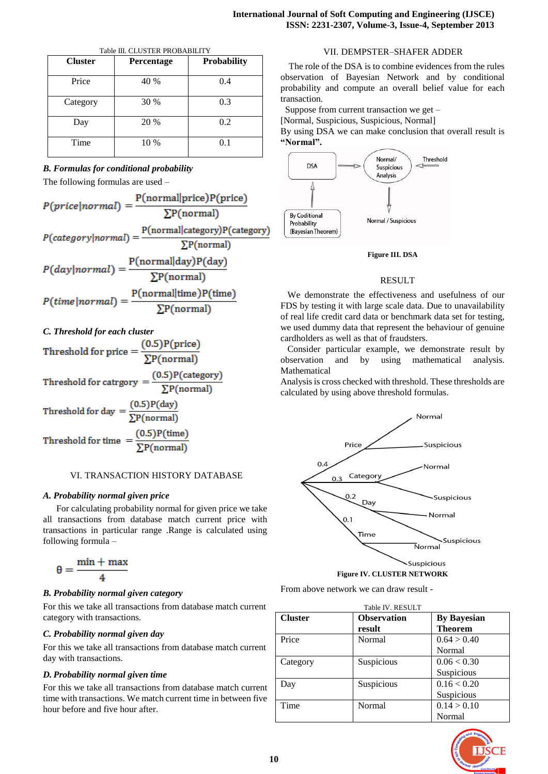| <b>Cluster</b> | Percentage | <b>Probability</b> |
|----------------|------------|--------------------|
| Price          | 40 %       | 0.4                |
| Category       | 30 %       | 0.3                |
| Day            | 20 %       | 0.2                |
| Time           | 10 %       | 0.1                |

# *B. Formulas for conditional probability*

The following formulas are used –

$$
P(price|normal) = \frac{P(normal|price)P(price)}{\sum P(normal)}
$$

$$
P(category|normal) = \frac{P(normal|category)P(category)}{\sum P(normal)}
$$

$$
P(day|normal) = \frac{P(normal|day)P(day)}{\sum P(normal)}
$$

$$
P(time|normal) = \frac{P(normal|time)P(time)}{\sum P(normal)}
$$

# *C. Threshold for each cluster*

Threshold for price = 
$$
\frac{(0.5)P(\text{price})}{\sum P(\text{normal})}
$$

\nThreshold for category = 
$$
\frac{(0.5)P(\text{category})}{\sum P(\text{normal})}
$$

\nThreshold for day = 
$$
\frac{(0.5)P(\text{day})}{\sum P(\text{normal})}
$$

\nThreshold for time = 
$$
\frac{(0.5)P(\text{time})}{\sum P(\text{normal})}
$$

#### VI. TRANSACTION HISTORY DATABASE

#### *A. Probability normal given price*

For calculating probability normal for given price we take all transactions from database match current price with transactions in particular range .Range is calculated using following formula –

$$
\theta = \frac{min + max}{4}
$$

#### *B. Probability normal given category*

For this we take all transactions from database match current category with transactions.

#### *C. Probability normal given day*

For this we take all transactions from database match current day with transactions.

# *D. Probability normal given time*

For this we take all transactions from database match current time with transactions. We match current time in between five hour before and five hour after.

# VII. DEMPSTER–SHAFER ADDER

 The role of the DSA is to combine evidences from the rules observation of Bayesian Network and by conditional probability and compute an overall belief value for each transaction.

Suppose from current transaction we get –

[Normal, Suspicious, Suspicious, Normal]

By using DSA we can make conclusion that overall result is **"Normal".**



#### **Figure III. DSA**

#### RESULT

 We demonstrate the effectiveness and usefulness of our FDS by testing it with large scale data. Due to unavailability of real life credit card data or benchmark data set for testing, we used dummy data that represent the behaviour of genuine cardholders as well as that of fraudsters.

 Consider particular example, we demonstrate result by observation and by using mathematical analysis. Mathematical

Analysis is cross checked with threshold. These thresholds are calculated by using above threshold formulas.





From above network we can draw result -

| Table IV. RESULT |                    |                    |  |  |
|------------------|--------------------|--------------------|--|--|
| <b>Cluster</b>   | <b>Observation</b> | <b>By Bayesian</b> |  |  |
|                  | result             | <b>Theorem</b>     |  |  |
| Price            | Normal             | 0.64 > 0.40        |  |  |
|                  |                    | Normal             |  |  |
| Category         | Suspicious         | 0.06 < 0.30        |  |  |
|                  |                    | Suspicious         |  |  |
| Day              | Suspicious         | 0.16 < 0.20        |  |  |
|                  |                    | Suspicious         |  |  |
| Time             | Normal             | 0.14 > 0.10        |  |  |
|                  |                    | Normal             |  |  |